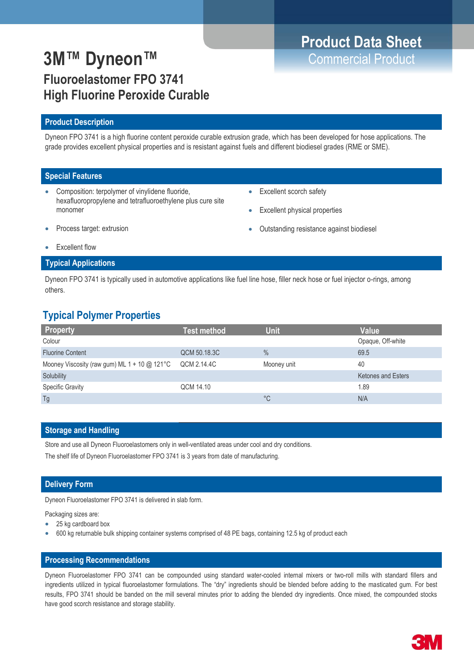# **Product Data Sheet**

## **3M™ Dyneon™** Commercial Product **Fluoroelastomer FPO 3741 High Fluorine Peroxide Curable**

### **Product Description**

Dyneon FPO 3741 is a high fluorine content peroxide curable extrusion grade, which has been developed for hose applications. The grade provides excellent physical properties and is resistant against fuels and different biodiesel grades (RME or SME).

### **Special Features**

- Composition: terpolymer of vinylidene fluoride, hexafluoropropylene and tetrafluoroethylene plus cure site monomer
- Excellent scorch safety
- Excellent physical properties

Process target: extrusion

Outstanding resistance against biodiesel

Excellent flow

### **Typical Applications**

Dyneon FPO 3741 is typically used in automotive applications like fuel line hose, filler neck hose or fuel injector o-rings, among others.

### **Typical Polymer Properties**

| <b>Property</b>                                     | <b>Test method</b> | <b>Unit</b>   | <b>Value</b>              |
|-----------------------------------------------------|--------------------|---------------|---------------------------|
| Colour                                              |                    |               | Opaque, Off-white         |
| <b>Fluorine Content</b>                             | QCM 50.18.3C       | $\frac{0}{0}$ | 69.5                      |
| Mooney Viscosity (raw gum) ML $1 + 10 \omega$ 121°C | QCM 2.14.4C        | Mooney unit   | 40                        |
| Solubility                                          |                    |               | <b>Ketones and Esters</b> |
| <b>Specific Gravity</b>                             | QCM 14.10          |               | 1.89                      |
| Tg                                                  |                    | °C            | N/A                       |

### **Storage and Handling**

Store and use all Dyneon Fluoroelastomers only in well-ventilated areas under cool and dry conditions. The shelf life of Dyneon Fluoroelastomer FPO 3741 is 3 years from date of manufacturing.

### **Delivery Form**

Dyneon Fluoroelastomer FPO 3741 is delivered in slab form.

Packaging sizes are:

- 25 kg cardboard box
- 600 kg returnable bulk shipping container systems comprised of 48 PE bags, containing 12.5 kg of product each

### **Processing Recommendations**

Dyneon Fluoroelastomer FPO 3741 can be compounded using standard water-cooled internal mixers or two-roll mills with standard fillers and ingredients utilized in typical fluoroelastomer formulations. The "dry" ingredients should be blended before adding to the masticated gum. For best results, FPO 3741 should be banded on the mill several minutes prior to adding the blended dry ingredients. Once mixed, the compounded stocks have good scorch resistance and storage stability.

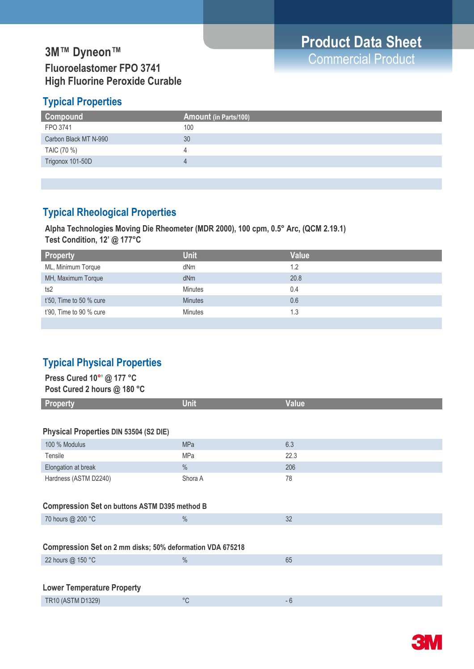### **3M™ Dyneon™**<br>
The Commercial Product **Fluoroelastomer FPO 3741 High Fluorine Peroxide Curable**

### **Typical Properties**

| Compound              | <b>Amount (in Parts/100)</b> |
|-----------------------|------------------------------|
| FPO 3741              | 100                          |
| Carbon Black MT N-990 | 30                           |
| TAIC (70 %)           | Д                            |
| Trigonox 101-50D      | $\Delta$                     |
|                       |                              |

### **Typical Rheological Properties**

**Alpha Technologies Moving Die Rheometer (MDR 2000), 100 cpm, 0.5° Arc, (QCM 2.19.1) Test Condition, 12' @ 177°C** 

| <b>Unit</b>    | <b>Value</b> |
|----------------|--------------|
| dNm            | 1.2          |
| dNm            | 20.8         |
| <b>Minutes</b> | 0.4          |
| <b>Minutes</b> | 0.6          |
| <b>Minutes</b> | 1.3          |
|                |              |

### **Typical Physical Properties**

| Press Cured 10°' @ 177 °C<br>Post Cured 2 hours @ 180 °C  |             |              |  |  |
|-----------------------------------------------------------|-------------|--------------|--|--|
| <b>Property</b>                                           | <b>Unit</b> | <b>Value</b> |  |  |
|                                                           |             |              |  |  |
| Physical Properties DIN 53504 (S2 DIE)                    |             |              |  |  |
| 100 % Modulus                                             | <b>MPa</b>  | 6.3          |  |  |
| Tensile                                                   | MPa         | 22.3         |  |  |
| Elongation at break                                       | $\%$        | 206          |  |  |
| Hardness (ASTM D2240)                                     | Shora A     | 78           |  |  |
|                                                           |             |              |  |  |
| <b>Compression Set on buttons ASTM D395 method B</b>      |             |              |  |  |
| 70 hours @ 200 °C                                         | $\%$        | 32           |  |  |
|                                                           |             |              |  |  |
| Compression Set on 2 mm disks; 50% deformation VDA 675218 |             |              |  |  |
| 22 hours @ 150 °C                                         | $\%$        | 65           |  |  |
|                                                           |             |              |  |  |
| <b>Lower Temperature Property</b>                         |             |              |  |  |
| TR10 (ASTM D1329)                                         | $^{\circ}C$ | $-6$         |  |  |